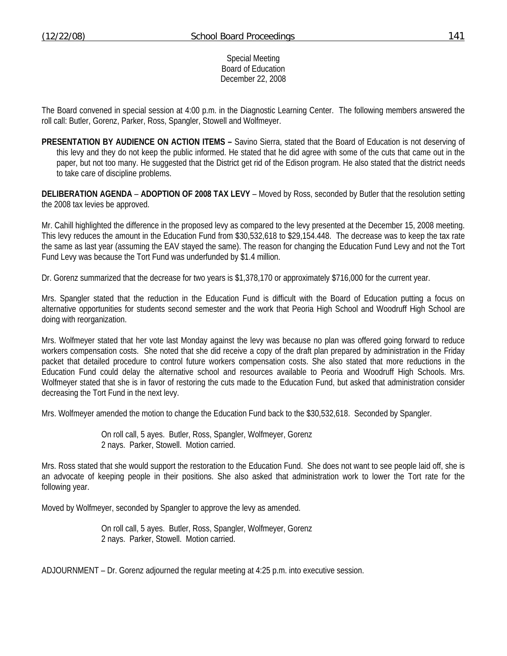Special Meeting Board of Education December 22, 2008

The Board convened in special session at 4:00 p.m. in the Diagnostic Learning Center. The following members answered the roll call: Butler, Gorenz, Parker, Ross, Spangler, Stowell and Wolfmeyer.

**PRESENTATION BY AUDIENCE ON ACTION ITEMS –** Savino Sierra, stated that the Board of Education is not deserving of this levy and they do not keep the public informed. He stated that he did agree with some of the cuts that came out in the paper, but not too many. He suggested that the District get rid of the Edison program. He also stated that the district needs to take care of discipline problems.

**DELIBERATION AGENDA** – **ADOPTION OF 2008 TAX LEVY** – Moved by Ross, seconded by Butler that the resolution setting the 2008 tax levies be approved.

Mr. Cahill highlighted the difference in the proposed levy as compared to the levy presented at the December 15, 2008 meeting. This levy reduces the amount in the Education Fund from \$30,532,618 to \$29,154.448. The decrease was to keep the tax rate the same as last year (assuming the EAV stayed the same). The reason for changing the Education Fund Levy and not the Tort Fund Levy was because the Tort Fund was underfunded by \$1.4 million.

Dr. Gorenz summarized that the decrease for two years is \$1,378,170 or approximately \$716,000 for the current year.

Mrs. Spangler stated that the reduction in the Education Fund is difficult with the Board of Education putting a focus on alternative opportunities for students second semester and the work that Peoria High School and Woodruff High School are doing with reorganization.

Mrs. Wolfmeyer stated that her vote last Monday against the levy was because no plan was offered going forward to reduce workers compensation costs. She noted that she did receive a copy of the draft plan prepared by administration in the Friday packet that detailed procedure to control future workers compensation costs. She also stated that more reductions in the Education Fund could delay the alternative school and resources available to Peoria and Woodruff High Schools. Mrs. Wolfmeyer stated that she is in favor of restoring the cuts made to the Education Fund, but asked that administration consider decreasing the Tort Fund in the next levy.

Mrs. Wolfmeyer amended the motion to change the Education Fund back to the \$30,532,618. Seconded by Spangler.

 On roll call, 5 ayes. Butler, Ross, Spangler, Wolfmeyer, Gorenz 2 nays. Parker, Stowell. Motion carried.

Mrs. Ross stated that she would support the restoration to the Education Fund. She does not want to see people laid off, she is an advocate of keeping people in their positions. She also asked that administration work to lower the Tort rate for the following year.

Moved by Wolfmeyer, seconded by Spangler to approve the levy as amended.

 On roll call, 5 ayes. Butler, Ross, Spangler, Wolfmeyer, Gorenz 2 nays. Parker, Stowell. Motion carried.

ADJOURNMENT – Dr. Gorenz adjourned the regular meeting at 4:25 p.m. into executive session.